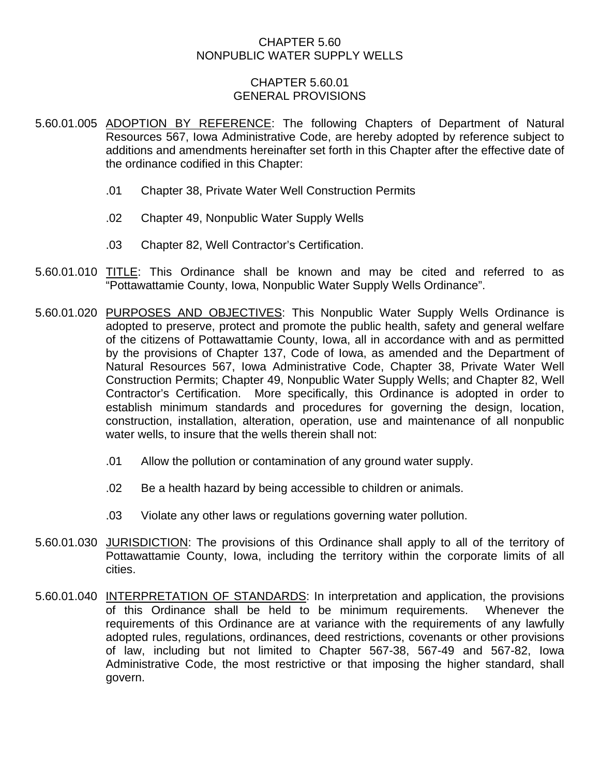### CHAPTER 5.60 NONPUBLIC WATER SUPPLY WELLS

### CHAPTER 5.60.01 GENERAL PROVISIONS

- 5.60.01.005 ADOPTION BY REFERENCE: The following Chapters of Department of Natural Resources 567, Iowa Administrative Code, are hereby adopted by reference subject to additions and amendments hereinafter set forth in this Chapter after the effective date of the ordinance codified in this Chapter:
	- .01 Chapter 38, Private Water Well Construction Permits
	- .02 Chapter 49, Nonpublic Water Supply Wells
	- .03 Chapter 82, Well Contractor's Certification.
- 5.60.01.010 TITLE: This Ordinance shall be known and may be cited and referred to as "Pottawattamie County, Iowa, Nonpublic Water Supply Wells Ordinance".
- 5.60.01.020 PURPOSES AND OBJECTIVES: This Nonpublic Water Supply Wells Ordinance is adopted to preserve, protect and promote the public health, safety and general welfare of the citizens of Pottawattamie County, Iowa, all in accordance with and as permitted by the provisions of Chapter 137, Code of Iowa, as amended and the Department of Natural Resources 567, Iowa Administrative Code, Chapter 38, Private Water Well Construction Permits; Chapter 49, Nonpublic Water Supply Wells; and Chapter 82, Well Contractor's Certification. More specifically, this Ordinance is adopted in order to establish minimum standards and procedures for governing the design, location, construction, installation, alteration, operation, use and maintenance of all nonpublic water wells, to insure that the wells therein shall not:
	- .01 Allow the pollution or contamination of any ground water supply.
	- .02 Be a health hazard by being accessible to children or animals.
	- .03 Violate any other laws or regulations governing water pollution.
- 5.60.01.030 JURISDICTION: The provisions of this Ordinance shall apply to all of the territory of Pottawattamie County, Iowa, including the territory within the corporate limits of all cities.
- 5.60.01.040 INTERPRETATION OF STANDARDS: In interpretation and application, the provisions of this Ordinance shall be held to be minimum requirements. Whenever the requirements of this Ordinance are at variance with the requirements of any lawfully adopted rules, regulations, ordinances, deed restrictions, covenants or other provisions of law, including but not limited to Chapter 567-38, 567-49 and 567-82, Iowa Administrative Code, the most restrictive or that imposing the higher standard, shall govern.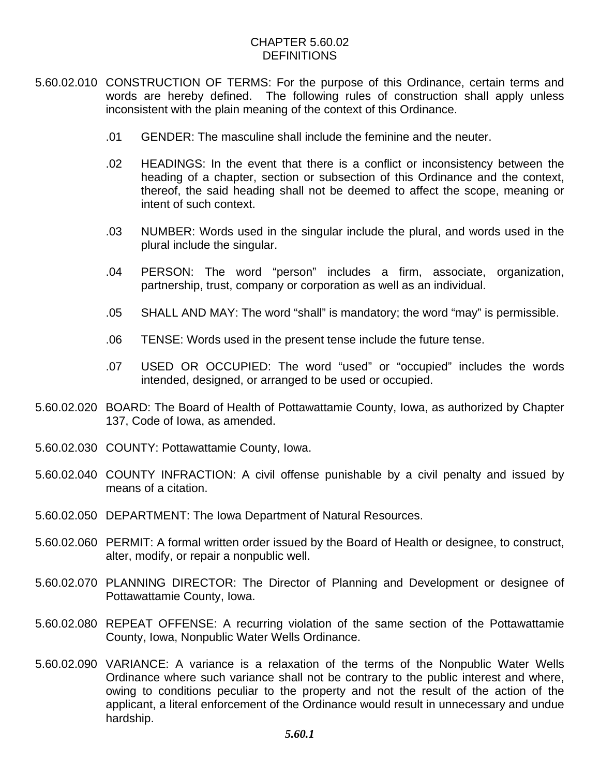## CHAPTER 5.60.02 DEFINITIONS

- 5.60.02.010 CONSTRUCTION OF TERMS: For the purpose of this Ordinance, certain terms and words are hereby defined. The following rules of construction shall apply unless inconsistent with the plain meaning of the context of this Ordinance.
	- .01 GENDER: The masculine shall include the feminine and the neuter.
	- .02 HEADINGS: In the event that there is a conflict or inconsistency between the heading of a chapter, section or subsection of this Ordinance and the context, thereof, the said heading shall not be deemed to affect the scope, meaning or intent of such context.
	- .03 NUMBER: Words used in the singular include the plural, and words used in the plural include the singular.
	- .04 PERSON: The word "person" includes a firm, associate, organization, partnership, trust, company or corporation as well as an individual.
	- .05 SHALL AND MAY: The word "shall" is mandatory; the word "may" is permissible.
	- .06 TENSE: Words used in the present tense include the future tense.
	- .07 USED OR OCCUPIED: The word "used" or "occupied" includes the words intended, designed, or arranged to be used or occupied.
- 5.60.02.020 BOARD: The Board of Health of Pottawattamie County, Iowa, as authorized by Chapter 137, Code of Iowa, as amended.
- 5.60.02.030 COUNTY: Pottawattamie County, Iowa.
- 5.60.02.040 COUNTY INFRACTION: A civil offense punishable by a civil penalty and issued by means of a citation.
- 5.60.02.050 DEPARTMENT: The Iowa Department of Natural Resources.
- 5.60.02.060 PERMIT: A formal written order issued by the Board of Health or designee, to construct, alter, modify, or repair a nonpublic well.
- 5.60.02.070 PLANNING DIRECTOR: The Director of Planning and Development or designee of Pottawattamie County, Iowa.
- 5.60.02.080 REPEAT OFFENSE: A recurring violation of the same section of the Pottawattamie County, Iowa, Nonpublic Water Wells Ordinance.
- 5.60.02.090 VARIANCE: A variance is a relaxation of the terms of the Nonpublic Water Wells Ordinance where such variance shall not be contrary to the public interest and where, owing to conditions peculiar to the property and not the result of the action of the applicant, a literal enforcement of the Ordinance would result in unnecessary and undue hardship.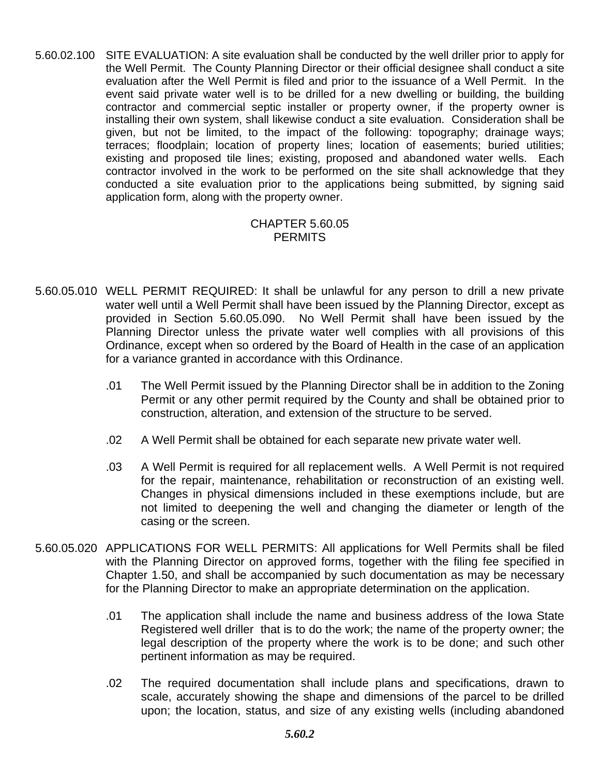5.60.02.100 SITE EVALUATION: A site evaluation shall be conducted by the well driller prior to apply for the Well Permit. The County Planning Director or their official designee shall conduct a site evaluation after the Well Permit is filed and prior to the issuance of a Well Permit. In the event said private water well is to be drilled for a new dwelling or building, the building contractor and commercial septic installer or property owner, if the property owner is installing their own system, shall likewise conduct a site evaluation. Consideration shall be given, but not be limited, to the impact of the following: topography; drainage ways; terraces; floodplain; location of property lines; location of easements; buried utilities; existing and proposed tile lines; existing, proposed and abandoned water wells. Each contractor involved in the work to be performed on the site shall acknowledge that they conducted a site evaluation prior to the applications being submitted, by signing said application form, along with the property owner.

#### CHAPTER 5.60.05 **PERMITS**

- 5.60.05.010 WELL PERMIT REQUIRED: It shall be unlawful for any person to drill a new private water well until a Well Permit shall have been issued by the Planning Director, except as provided in Section 5.60.05.090. No Well Permit shall have been issued by the Planning Director unless the private water well complies with all provisions of this Ordinance, except when so ordered by the Board of Health in the case of an application for a variance granted in accordance with this Ordinance.
	- .01 The Well Permit issued by the Planning Director shall be in addition to the Zoning Permit or any other permit required by the County and shall be obtained prior to construction, alteration, and extension of the structure to be served.
	- .02 A Well Permit shall be obtained for each separate new private water well.
	- .03 A Well Permit is required for all replacement wells. A Well Permit is not required for the repair, maintenance, rehabilitation or reconstruction of an existing well. Changes in physical dimensions included in these exemptions include, but are not limited to deepening the well and changing the diameter or length of the casing or the screen.
- 5.60.05.020 APPLICATIONS FOR WELL PERMITS: All applications for Well Permits shall be filed with the Planning Director on approved forms, together with the filing fee specified in Chapter 1.50, and shall be accompanied by such documentation as may be necessary for the Planning Director to make an appropriate determination on the application.
	- .01 The application shall include the name and business address of the Iowa State Registered well driller that is to do the work; the name of the property owner; the legal description of the property where the work is to be done; and such other pertinent information as may be required.
	- .02 The required documentation shall include plans and specifications, drawn to scale, accurately showing the shape and dimensions of the parcel to be drilled upon; the location, status, and size of any existing wells (including abandoned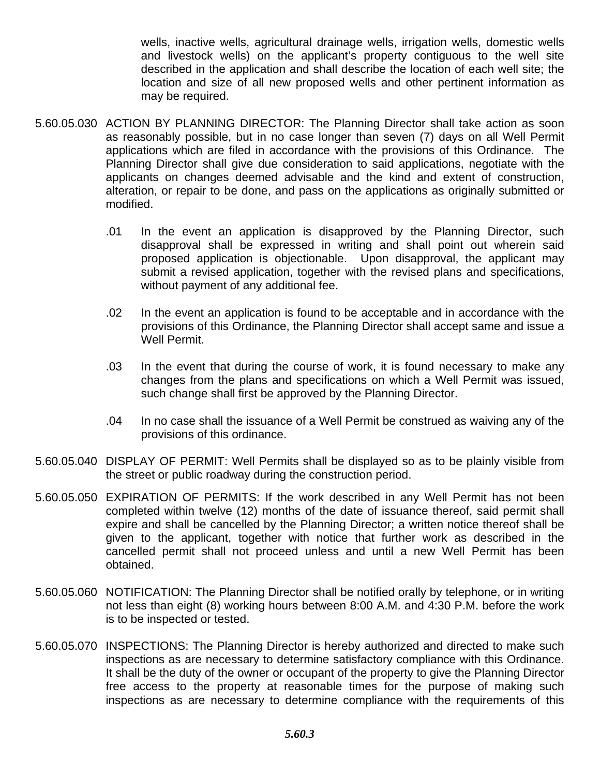wells, inactive wells, agricultural drainage wells, irrigation wells, domestic wells and livestock wells) on the applicant's property contiguous to the well site described in the application and shall describe the location of each well site; the location and size of all new proposed wells and other pertinent information as may be required.

- 5.60.05.030 ACTION BY PLANNING DIRECTOR: The Planning Director shall take action as soon as reasonably possible, but in no case longer than seven (7) days on all Well Permit applications which are filed in accordance with the provisions of this Ordinance. The Planning Director shall give due consideration to said applications, negotiate with the applicants on changes deemed advisable and the kind and extent of construction, alteration, or repair to be done, and pass on the applications as originally submitted or modified.
	- .01 In the event an application is disapproved by the Planning Director, such disapproval shall be expressed in writing and shall point out wherein said proposed application is objectionable. Upon disapproval, the applicant may submit a revised application, together with the revised plans and specifications, without payment of any additional fee.
	- .02 In the event an application is found to be acceptable and in accordance with the provisions of this Ordinance, the Planning Director shall accept same and issue a Well Permit.
	- .03 In the event that during the course of work, it is found necessary to make any changes from the plans and specifications on which a Well Permit was issued, such change shall first be approved by the Planning Director.
	- .04 In no case shall the issuance of a Well Permit be construed as waiving any of the provisions of this ordinance.
- 5.60.05.040 DISPLAY OF PERMIT: Well Permits shall be displayed so as to be plainly visible from the street or public roadway during the construction period.
- 5.60.05.050 EXPIRATION OF PERMITS: If the work described in any Well Permit has not been completed within twelve (12) months of the date of issuance thereof, said permit shall expire and shall be cancelled by the Planning Director; a written notice thereof shall be given to the applicant, together with notice that further work as described in the cancelled permit shall not proceed unless and until a new Well Permit has been obtained.
- 5.60.05.060 NOTIFICATION: The Planning Director shall be notified orally by telephone, or in writing not less than eight (8) working hours between 8:00 A.M. and 4:30 P.M. before the work is to be inspected or tested.
- 5.60.05.070 INSPECTIONS: The Planning Director is hereby authorized and directed to make such inspections as are necessary to determine satisfactory compliance with this Ordinance. It shall be the duty of the owner or occupant of the property to give the Planning Director free access to the property at reasonable times for the purpose of making such inspections as are necessary to determine compliance with the requirements of this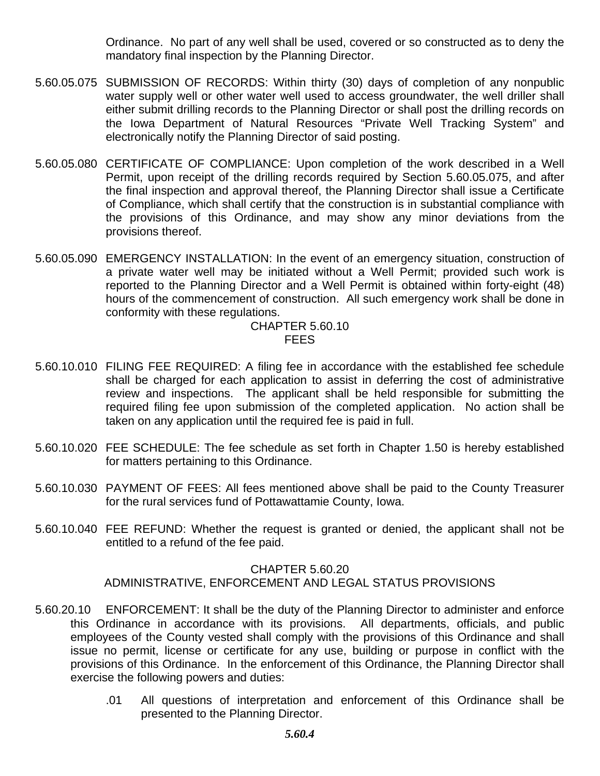Ordinance. No part of any well shall be used, covered or so constructed as to deny the mandatory final inspection by the Planning Director.

- 5.60.05.075 SUBMISSION OF RECORDS: Within thirty (30) days of completion of any nonpublic water supply well or other water well used to access groundwater, the well driller shall either submit drilling records to the Planning Director or shall post the drilling records on the Iowa Department of Natural Resources "Private Well Tracking System" and electronically notify the Planning Director of said posting.
- 5.60.05.080 CERTIFICATE OF COMPLIANCE: Upon completion of the work described in a Well Permit, upon receipt of the drilling records required by Section 5.60.05.075, and after the final inspection and approval thereof, the Planning Director shall issue a Certificate of Compliance, which shall certify that the construction is in substantial compliance with the provisions of this Ordinance, and may show any minor deviations from the provisions thereof.
- 5.60.05.090 EMERGENCY INSTALLATION: In the event of an emergency situation, construction of a private water well may be initiated without a Well Permit; provided such work is reported to the Planning Director and a Well Permit is obtained within forty-eight (48) hours of the commencement of construction. All such emergency work shall be done in conformity with these regulations.

## CHAPTER 5.60.10 **FEES**

- 5.60.10.010 FILING FEE REQUIRED: A filing fee in accordance with the established fee schedule shall be charged for each application to assist in deferring the cost of administrative review and inspections. The applicant shall be held responsible for submitting the required filing fee upon submission of the completed application. No action shall be taken on any application until the required fee is paid in full.
- 5.60.10.020 FEE SCHEDULE: The fee schedule as set forth in Chapter 1.50 is hereby established for matters pertaining to this Ordinance.
- 5.60.10.030 PAYMENT OF FEES: All fees mentioned above shall be paid to the County Treasurer for the rural services fund of Pottawattamie County, Iowa.
- 5.60.10.040 FEE REFUND: Whether the request is granted or denied, the applicant shall not be entitled to a refund of the fee paid.

## CHAPTER 5.60.20

# ADMINISTRATIVE, ENFORCEMENT AND LEGAL STATUS PROVISIONS

- 5.60.20.10 ENFORCEMENT: It shall be the duty of the Planning Director to administer and enforce this Ordinance in accordance with its provisions. All departments, officials, and public employees of the County vested shall comply with the provisions of this Ordinance and shall issue no permit, license or certificate for any use, building or purpose in conflict with the provisions of this Ordinance. In the enforcement of this Ordinance, the Planning Director shall exercise the following powers and duties:
	- .01 All questions of interpretation and enforcement of this Ordinance shall be presented to the Planning Director.